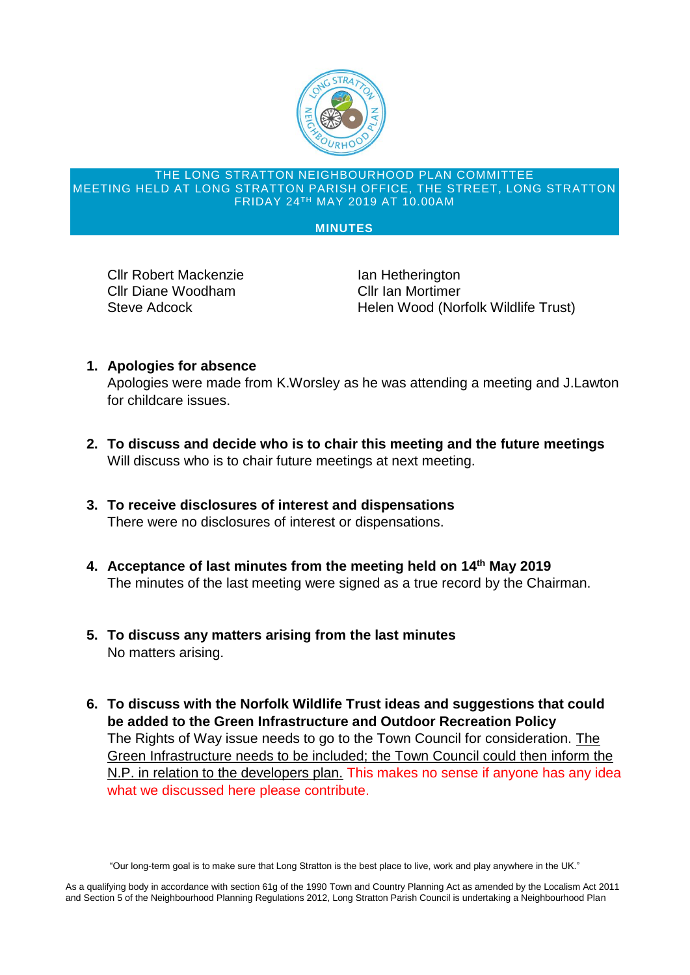

## THE LONG STRATTON NEIGHBOURHOOD PLAN COMMITTEE MEETING HELD AT LONG STRATTON PARISH OFFICE, THE STREET, LONG STRATTON FRIDAY 24TH MAY 2019 AT 10.00AM

## **MINUTES**

Cllr Robert Mackenzie **In Tellet Ian Hetherington** Cllr Diane Woodham Cllr Ian Mortimer

Steve Adcock **Helen Wood (Norfolk Wildlife Trust)** 

**1. Apologies for absence**

Apologies were made from K.Worsley as he was attending a meeting and J.Lawton for childcare issues.

- **2. To discuss and decide who is to chair this meeting and the future meetings** Will discuss who is to chair future meetings at next meeting.
- **3. To receive disclosures of interest and dispensations** There were no disclosures of interest or dispensations.
- **4. Acceptance of last minutes from the meeting held on 14th May 2019** The minutes of the last meeting were signed as a true record by the Chairman.
- **5. To discuss any matters arising from the last minutes** No matters arising.
- **6. To discuss with the Norfolk Wildlife Trust ideas and suggestions that could be added to the Green Infrastructure and Outdoor Recreation Policy** The Rights of Way issue needs to go to the Town Council for consideration. The Green Infrastructure needs to be included; the Town Council could then inform the N.P. in relation to the developers plan. This makes no sense if anyone has any idea what we discussed here please contribute.

"Our long-term goal is to make sure that Long Stratton is the best place to live, work and play anywhere in the UK."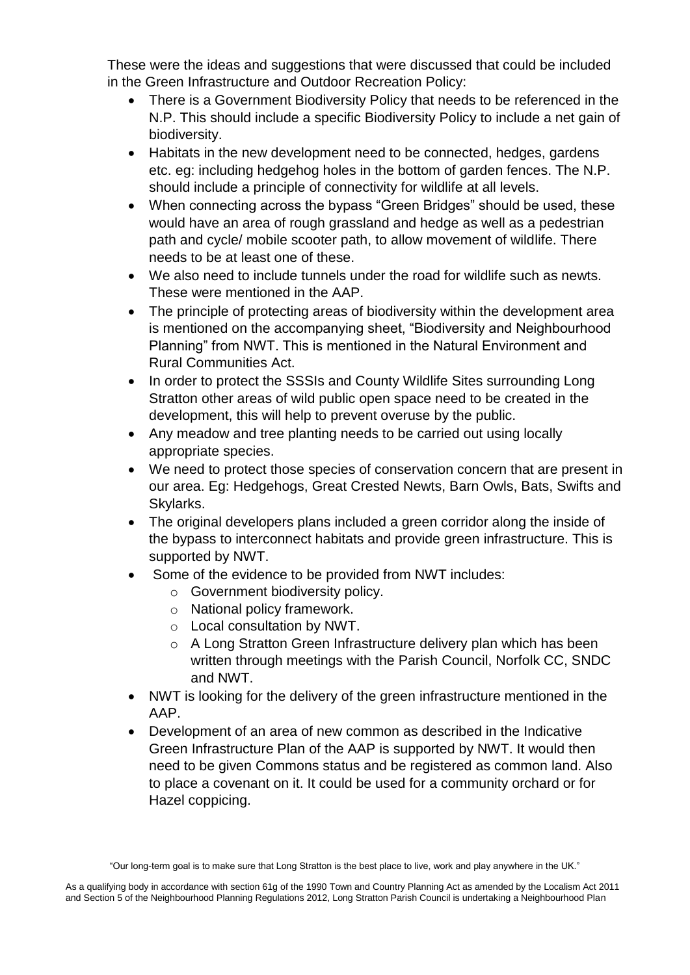These were the ideas and suggestions that were discussed that could be included in the Green Infrastructure and Outdoor Recreation Policy:

- There is a Government Biodiversity Policy that needs to be referenced in the N.P. This should include a specific Biodiversity Policy to include a net gain of biodiversity.
- Habitats in the new development need to be connected, hedges, gardens etc. eg: including hedgehog holes in the bottom of garden fences. The N.P. should include a principle of connectivity for wildlife at all levels.
- When connecting across the bypass "Green Bridges" should be used, these would have an area of rough grassland and hedge as well as a pedestrian path and cycle/ mobile scooter path, to allow movement of wildlife. There needs to be at least one of these.
- We also need to include tunnels under the road for wildlife such as newts. These were mentioned in the AAP.
- The principle of protecting areas of biodiversity within the development area is mentioned on the accompanying sheet, "Biodiversity and Neighbourhood Planning" from NWT. This is mentioned in the Natural Environment and Rural Communities Act.
- In order to protect the SSSIs and County Wildlife Sites surrounding Long Stratton other areas of wild public open space need to be created in the development, this will help to prevent overuse by the public.
- Any meadow and tree planting needs to be carried out using locally appropriate species.
- We need to protect those species of conservation concern that are present in our area. Eg: Hedgehogs, Great Crested Newts, Barn Owls, Bats, Swifts and Skylarks.
- The original developers plans included a green corridor along the inside of the bypass to interconnect habitats and provide green infrastructure. This is supported by NWT.
- Some of the evidence to be provided from NWT includes:
	- o Government biodiversity policy.
	- o National policy framework.
	- o Local consultation by NWT.
	- o A Long Stratton Green Infrastructure delivery plan which has been written through meetings with the Parish Council, Norfolk CC, SNDC and NWT.
- NWT is looking for the delivery of the green infrastructure mentioned in the AAP.
- Development of an area of new common as described in the Indicative Green Infrastructure Plan of the AAP is supported by NWT. It would then need to be given Commons status and be registered as common land. Also to place a covenant on it. It could be used for a community orchard or for Hazel coppicing.

<sup>&</sup>quot;Our long-term goal is to make sure that Long Stratton is the best place to live, work and play anywhere in the UK."